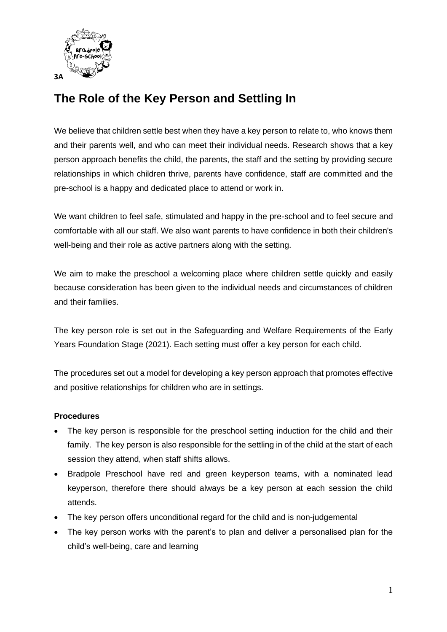

# **The Role of the Key Person and Settling In**

We believe that children settle best when they have a key person to relate to, who knows them and their parents well, and who can meet their individual needs. Research shows that a key person approach benefits the child, the parents, the staff and the setting by providing secure relationships in which children thrive, parents have confidence, staff are committed and the pre-school is a happy and dedicated place to attend or work in.

We want children to feel safe, stimulated and happy in the pre-school and to feel secure and comfortable with all our staff. We also want parents to have confidence in both their children's well-being and their role as active partners along with the setting.

We aim to make the preschool a welcoming place where children settle quickly and easily because consideration has been given to the individual needs and circumstances of children and their families.

The key person role is set out in the Safeguarding and Welfare Requirements of the Early Years Foundation Stage (2021). Each setting must offer a key person for each child.

The procedures set out a model for developing a key person approach that promotes effective and positive relationships for children who are in settings.

## **Procedures**

- The key person is responsible for the preschool setting induction for the child and their family. The key person is also responsible for the settling in of the child at the start of each session they attend, when staff shifts allows.
- Bradpole Preschool have red and green keyperson teams, with a nominated lead keyperson, therefore there should always be a key person at each session the child attends.
- The key person offers unconditional regard for the child and is non-judgemental
- The key person works with the parent's to plan and deliver a personalised plan for the child's well-being, care and learning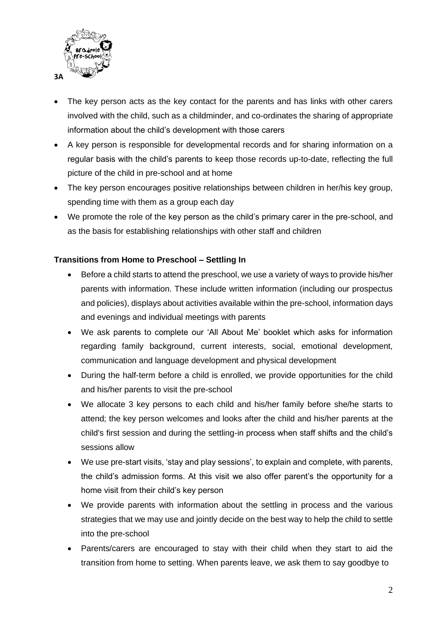

- The key person acts as the key contact for the parents and has links with other carers involved with the child, such as a childminder, and co-ordinates the sharing of appropriate information about the child's development with those carers
- A key person is responsible for developmental records and for sharing information on a regular basis with the child's parents to keep those records up-to-date, reflecting the full picture of the child in pre-school and at home
- The key person encourages positive relationships between children in her/his key group, spending time with them as a group each day
- We promote the role of the key person as the child's primary carer in the pre-school, and as the basis for establishing relationships with other staff and children

## **Transitions from Home to Preschool – Settling In**

- Before a child starts to attend the preschool, we use a variety of ways to provide his/her parents with information. These include written information (including our prospectus and policies), displays about activities available within the pre-school, information days and evenings and individual meetings with parents
- We ask parents to complete our 'All About Me' booklet which asks for information regarding family background, current interests, social, emotional development, communication and language development and physical development
- During the half-term before a child is enrolled, we provide opportunities for the child and his/her parents to visit the pre-school
- We allocate 3 key persons to each child and his/her family before she/he starts to attend; the key person welcomes and looks after the child and his/her parents at the child's first session and during the settling-in process when staff shifts and the child's sessions allow
- We use pre-start visits, 'stay and play sessions', to explain and complete, with parents, the child's admission forms. At this visit we also offer parent's the opportunity for a home visit from their child's key person
- We provide parents with information about the settling in process and the various strategies that we may use and jointly decide on the best way to help the child to settle into the pre-school
- Parents/carers are encouraged to stay with their child when they start to aid the transition from home to setting. When parents leave, we ask them to say goodbye to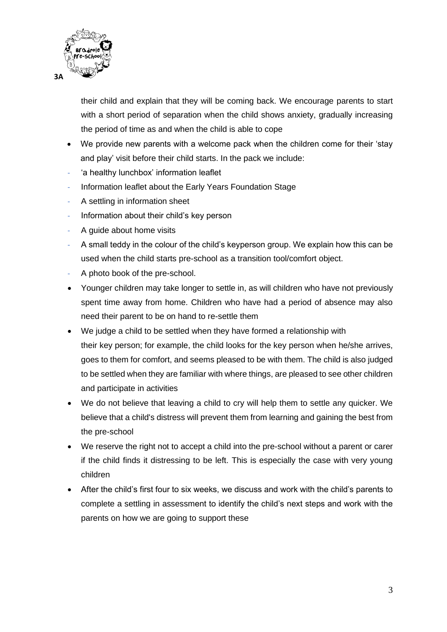

their child and explain that they will be coming back. We encourage parents to start with a short period of separation when the child shows anxiety, gradually increasing the period of time as and when the child is able to cope

- We provide new parents with a welcome pack when the children come for their 'stay and play' visit before their child starts. In the pack we include:
- 'a healthy lunchbox' information leaflet
- Information leaflet about the Early Years Foundation Stage
- A settling in information sheet
- Information about their child's key person
- A guide about home visits
- A small teddy in the colour of the child's keyperson group. We explain how this can be used when the child starts pre-school as a transition tool/comfort object.
- A photo book of the pre-school.
- Younger children may take longer to settle in, as will children who have not previously spent time away from home. Children who have had a period of absence may also need their parent to be on hand to re-settle them
- We judge a child to be settled when they have formed a relationship with their key person; for example, the child looks for the key person when he/she arrives, goes to them for comfort, and seems pleased to be with them. The child is also judged to be settled when they are familiar with where things, are pleased to see other children and participate in activities
- We do not believe that leaving a child to cry will help them to settle any quicker. We believe that a child's distress will prevent them from learning and gaining the best from the pre-school
- We reserve the right not to accept a child into the pre-school without a parent or carer if the child finds it distressing to be left. This is especially the case with very young children
- After the child's first four to six weeks, we discuss and work with the child's parents to complete a settling in assessment to identify the child's next steps and work with the parents on how we are going to support these